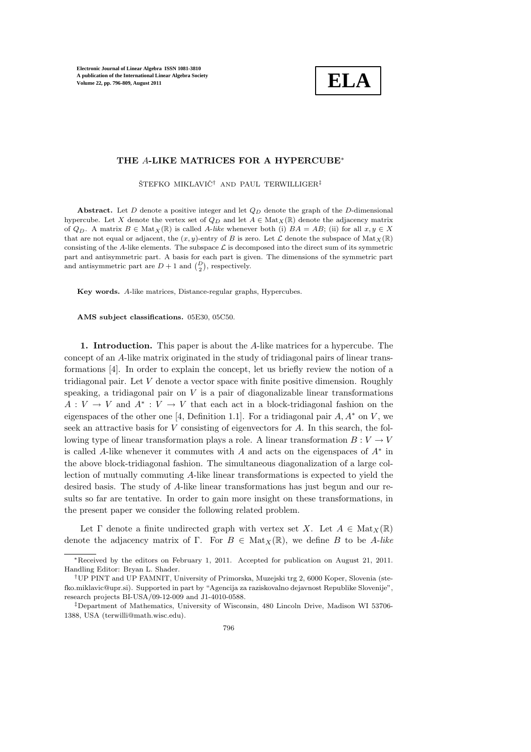

## THE A-LIKE MATRICES FOR A HYPERCUBE<sup>∗</sup>

 $STEFKO$  MIKLAVI $\check{C}^{\dagger}$  and PAUL TERWILLIGER $^{\ddagger}$ 

Abstract. Let D denote a positive integer and let  $Q_D$  denote the graph of the D-dimensional hypercube. Let X denote the vertex set of  $Q_D$  and let  $A \in Mat_X(\mathbb{R})$  denote the adjacency matrix of  $Q_D$ . A matrix  $B \in Mat_X(\mathbb{R})$  is called A-like whenever both (i)  $BA = AB$ ; (ii) for all  $x, y \in X$ that are not equal or adjacent, the  $(x, y)$ -entry of B is zero. Let  $\mathcal L$  denote the subspace of  $\text{Mat}_X(\mathbb R)$ consisting of the A-like elements. The subspace  $\mathcal L$  is decomposed into the direct sum of its symmetric part and antisymmetric part. A basis for each part is given. The dimensions of the symmetric part and antisymmetric part are  $D + 1$  and  $\begin{pmatrix} D \\ 2 \end{pmatrix}$ , respectively.

Key words. A-like matrices, Distance-regular graphs, Hypercubes.

AMS subject classifications. 05E30, 05C50.

1. Introduction. This paper is about the A-like matrices for a hypercube. The concept of an A-like matrix originated in the study of tridiagonal pairs of linear transformations [4]. In order to explain the concept, let us briefly review the notion of a tridiagonal pair. Let V denote a vector space with finite positive dimension. Roughly speaking, a tridiagonal pair on  $V$  is a pair of diagonalizable linear transformations  $A: V \to V$  and  $A^*: V \to V$  that each act in a block-tridiagonal fashion on the eigenspaces of the other one [4, Definition 1.1]. For a tridiagonal pair  $A, A^*$  on V, we seek an attractive basis for V consisting of eigenvectors for A. In this search, the following type of linear transformation plays a role. A linear transformation  $B: V \to V$ is called A-like whenever it commutes with  $A$  and acts on the eigenspaces of  $A^*$  in the above block-tridiagonal fashion. The simultaneous diagonalization of a large collection of mutually commuting A-like linear transformations is expected to yield the desired basis. The study of A-like linear transformations has just begun and our results so far are tentative. In order to gain more insight on these transformations, in the present paper we consider the following related problem.

Let  $\Gamma$  denote a finite undirected graph with vertex set X. Let  $A \in Mat_{X}(\mathbb{R})$ denote the adjacency matrix of Γ. For  $B \in Mat_X(\mathbb{R})$ , we define B to be A-like

<sup>∗</sup>Received by the editors on February 1, 2011. Accepted for publication on August 21, 2011. Handling Editor: Bryan L. Shader.

<sup>†</sup>UP PINT and UP FAMNIT, University of Primorska, Muzejski trg 2, 6000 Koper, Slovenia (stefko.miklavic@upr.si). Supported in part by "Agencija za raziskovalno dejavnost Republike Slovenije", research projects BI-USA/09-12-009 and J1-4010-0588.

<sup>‡</sup>Department of Mathematics, University of Wisconsin, 480 Lincoln Drive, Madison WI 53706- 1388, USA (terwilli@math.wisc.edu).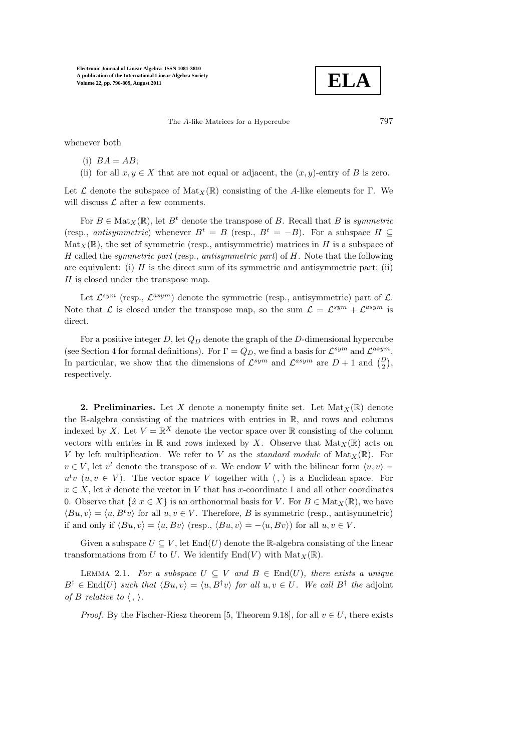**ELA**

The A-like Matrices for a Hypercube 797

whenever both

$$
(i) BA = AB;
$$

(ii) for all  $x, y \in X$  that are not equal or adjacent, the  $(x, y)$ -entry of B is zero.

Let  $\mathcal L$  denote the subspace of Mat<sub>X</sub>(R) consisting of the A-like elements for Γ. We will discuss  $\mathcal L$  after a few comments.

For  $B \in \text{Mat}_X(\mathbb{R})$ , let  $B^t$  denote the transpose of B. Recall that B is symmetric (resp., antisymmetric) whenever  $B^t = B$  (resp.,  $B^t = -B$ ). For a subspace  $H \subset$  $\text{Mat}_X(\mathbb{R})$ , the set of symmetric (resp., antisymmetric) matrices in H is a subspace of  $H$  called the *symmetric part* (resp., *antisymmetric part*) of  $H$ . Note that the following are equivalent: (i)  $H$  is the direct sum of its symmetric and antisymmetric part; (ii) H is closed under the transpose map.

Let  $\mathcal{L}^{sym}$  (resp.,  $\mathcal{L}^{asym}$ ) denote the symmetric (resp., antisymmetric) part of  $\mathcal{L}$ . Note that  $\mathcal{L}$  is closed under the transpose map, so the sum  $\mathcal{L} = \mathcal{L}^{sym} + \mathcal{L}^{asym}$  is direct.

For a positive integer D, let  $Q_D$  denote the graph of the D-dimensional hypercube (see Section 4 for formal definitions). For  $\Gamma = Q_D$ , we find a basis for  $\mathcal{L}^{sym}$  and  $\mathcal{L}^{asym}$ . In particular, we show that the dimensions of  $\mathcal{L}^{sym}$  and  $\mathcal{L}^{asym}$  are  $D+1$  and  $\begin{pmatrix} D \\ 2 \end{pmatrix}$ , respectively.

**2. Preliminaries.** Let X denote a nonempty finite set. Let  $Mat_X(\mathbb{R})$  denote the R-algebra consisting of the matrices with entries in R, and rows and columns indexed by X. Let  $V = \mathbb{R}^X$  denote the vector space over  $\mathbb R$  consisting of the column vectors with entries in R and rows indexed by X. Observe that  $Mat_X(\mathbb{R})$  acts on V by left multiplication. We refer to V as the *standard module* of  $Mat_X(\mathbb{R})$ . For  $v \in V$ , let  $v^t$  denote the transpose of v. We endow V with the bilinear form  $\langle u, v \rangle =$  $u^t v$  ( $u, v \in V$ ). The vector space V together with  $\langle , \rangle$  is a Euclidean space. For  $x \in X$ , let  $\hat{x}$  denote the vector in V that has x-coordinate 1 and all other coordinates 0. Observe that  $\{\hat{x}|x \in X\}$  is an orthonormal basis for V. For  $B \in Mat_X(\mathbb{R})$ , we have  $\langle Bu, v \rangle = \langle u, B^t v \rangle$  for all  $u, v \in V$ . Therefore, B is symmetric (resp., antisymmetric) if and only if  $\langle Bu, v \rangle = \langle u, Bv \rangle$  (resp.,  $\langle Bu, v \rangle = -\langle u, Bv \rangle$ ) for all  $u, v \in V$ .

Given a subspace  $U \subseteq V$ , let End(U) denote the R-algebra consisting of the linear transformations from U to U. We identify  $\text{End}(V)$  with  $\text{Mat}_X(\mathbb{R})$ .

LEMMA 2.1. For a subspace  $U \subseteq V$  and  $B \in End(U)$ , there exists a unique  $B^{\dagger} \in \text{End}(U)$  such that  $\langle Bu, v \rangle = \langle u, B^{\dagger}v \rangle$  for all  $u, v \in U$ . We call  $B^{\dagger}$  the adjoint of B relative to  $\langle , \rangle$ .

*Proof.* By the Fischer-Riesz theorem [5, Theorem 9.18], for all  $v \in U$ , there exists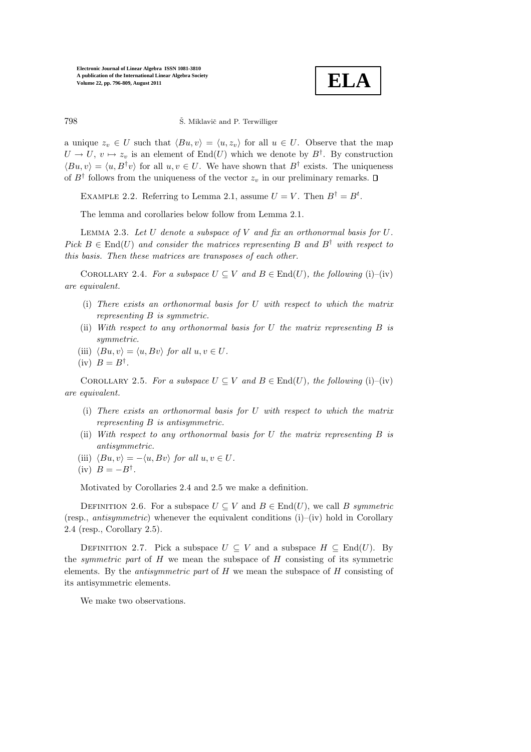

798 Š. Miklavič and P. Terwilliger

a unique  $z_v \in U$  such that  $\langle Bu, v \rangle = \langle u, z_v \rangle$  for all  $u \in U$ . Observe that the map  $U \to U, v \mapsto z_v$  is an element of  $\text{End}(U)$  which we denote by  $B^{\dagger}$ . By construction  $\langle Bu, v \rangle = \langle u, B^{\dagger}v \rangle$  for all  $u, v \in U$ . We have shown that  $B^{\dagger}$  exists. The uniqueness of  $B^{\dagger}$  follows from the uniqueness of the vector  $z_v$  in our preliminary remarks.

EXAMPLE 2.2. Referring to Lemma 2.1, assume  $U = V$ . Then  $B^{\dagger} = B^t$ .

The lemma and corollaries below follow from Lemma 2.1.

LEMMA 2.3. Let U denote a subspace of V and fix an orthonormal basis for  $U$ . Pick  $B \in End(U)$  and consider the matrices representing B and  $B^{\dagger}$  with respect to this basis. Then these matrices are transposes of each other.

COROLLARY 2.4. For a subspace  $U \subseteq V$  and  $B \in End(U)$ , the following (i)–(iv) are equivalent.

- (i) There exists an orthonormal basis for U with respect to which the matrix representing B is symmetric.
- (ii) With respect to any orthonormal basis for U the matrix representing B is symmetric.
- (iii)  $\langle Bu, v \rangle = \langle u, Bv \rangle$  for all  $u, v \in U$ .
- $(iv)$   $B = B^{\dagger}$ .

COROLLARY 2.5. For a subspace  $U \subseteq V$  and  $B \in End(U)$ , the following (i)–(iv) are equivalent.

- (i) There exists an orthonormal basis for U with respect to which the matrix representing B is antisymmetric.
- (ii) With respect to any orthonormal basis for  $U$  the matrix representing  $B$  is antisymmetric.
- (iii)  $\langle Bu, v \rangle = -\langle u, Bv \rangle$  for all  $u, v \in U$ .
- (iv)  $B = -B^{\dagger}$ .

Motivated by Corollaries 2.4 and 2.5 we make a definition.

DEFINITION 2.6. For a subspace  $U \subseteq V$  and  $B \in End(U)$ , we call B symmetric (resp., *antisymmetric*) whenever the equivalent conditions  $(i)$ –(iv) hold in Corollary 2.4 (resp., Corollary 2.5).

DEFINITION 2.7. Pick a subspace  $U \subseteq V$  and a subspace  $H \subseteq \text{End}(U)$ . By the *symmetric part* of  $H$  we mean the subspace of  $H$  consisting of its symmetric elements. By the *antisymmetric part* of  $H$  we mean the subspace of  $H$  consisting of its antisymmetric elements.

We make two observations.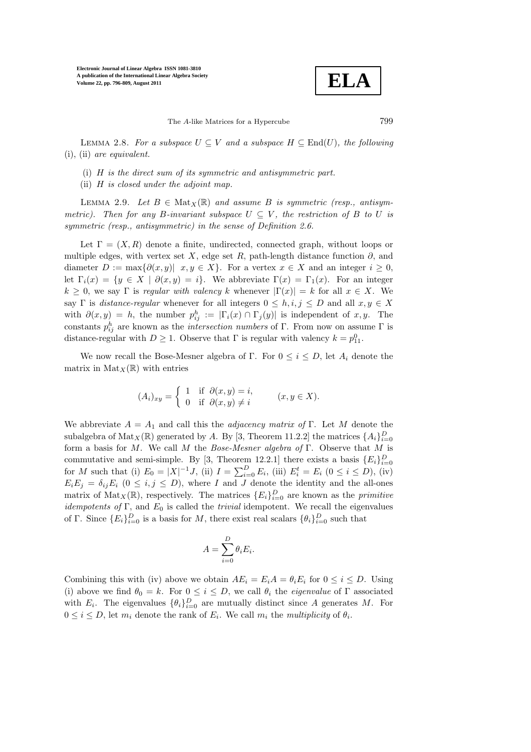

The A-like Matrices for a Hypercube 799

LEMMA 2.8. For a subspace  $U \subseteq V$  and a subspace  $H \subseteq End(U)$ , the following (i), (ii) are equivalent.

- (i) H is the direct sum of its symmetric and antisymmetric part.
- (ii) H is closed under the adjoint map.

LEMMA 2.9. Let  $B \in \text{Mat}_X(\mathbb{R})$  and assume B is symmetric (resp., antisymmetric). Then for any B-invariant subspace  $U \subseteq V$ , the restriction of B to U is symmetric (resp., antisymmetric) in the sense of Definition 2.6.

Let  $\Gamma = (X, R)$  denote a finite, undirected, connected graph, without loops or multiple edges, with vertex set X, edge set R, path-length distance function  $\partial$ , and diameter  $D := \max\{\partial(x, y) | x, y \in X\}$ . For a vertex  $x \in X$  and an integer  $i \geq 0$ , let  $\Gamma_i(x) = \{y \in X \mid \partial(x, y) = i\}.$  We abbreviate  $\Gamma(x) = \Gamma_1(x)$ . For an integer  $k \geq 0$ , we say Γ is regular with valency k whenever  $|\Gamma(x)| = k$  for all  $x \in X$ . We say Γ is *distance-regular* whenever for all integers  $0 \leq h, i, j \leq D$  and all  $x, y \in X$ with  $\partial(x, y) = h$ , the number  $p_{ij}^h := |\Gamma_i(x) \cap \Gamma_j(y)|$  is independent of x, y. The constants  $p_{ij}^h$  are known as the *intersection numbers* of Γ. From now on assume Γ is distance-regular with  $D \geq 1$ . Observe that  $\Gamma$  is regular with valency  $k = p_{11}^0$ .

We now recall the Bose-Mesner algebra of Γ. For  $0 \leq i \leq D$ , let  $A_i$  denote the matrix in  $\text{Mat}_X(\mathbb{R})$  with entries

$$
(A_i)_{xy} = \begin{cases} 1 & \text{if } \partial(x, y) = i, \\ 0 & \text{if } \partial(x, y) \neq i \end{cases} \qquad (x, y \in X).
$$

We abbreviate  $A = A_1$  and call this the *adjacency matrix of* Γ. Let M denote the subalgebra of  $\text{Mat}_X(\mathbb{R})$  generated by A. By [3, Theorem 11.2.2] the matrices  $\{A_i\}_{i=0}^D$ form a basis for M. We call M the Bose-Mesner algebra of Γ. Observe that M is commutative and semi-simple. By [3, Theorem 12.2.1] there exists a basis  ${E_i}_{i=0}^D$ for M such that (i)  $E_0 = |X|^{-1} J$ , (ii)  $I = \sum_{i=0}^{D} E_i$ , (iii)  $E_i^t = E_i$  ( $0 \le i \le D$ ), (iv)  $E_iE_j = \delta_{ij}E_i$   $(0 \le i, j \le D)$ , where I and J denote the identity and the all-ones matrix of  $\text{Mat}_X(\mathbb{R})$ , respectively. The matrices  $\{E_i\}_{i=0}^D$  are known as the *primitive idempotents of* Γ, and  $E_0$  is called the *trivial* idempotent. We recall the eigenvalues of Γ. Since  ${E_i}_{i=0}^D$  is a basis for M, there exist real scalars  ${\{\theta_i\}}_{i=0}^D$  such that

$$
A = \sum_{i=0}^{D} \theta_i E_i.
$$

Combining this with (iv) above we obtain  $AE_i = E_i A = \theta_i E_i$  for  $0 \le i \le D$ . Using (i) above we find  $\theta_0 = k$ . For  $0 \le i \le D$ , we call  $\theta_i$  the *eigenvalue* of  $\Gamma$  associated with  $E_i$ . The eigenvalues  $\{\theta_i\}_{i=0}^D$  are mutually distinct since A generates M. For  $0 \leq i \leq D$ , let  $m_i$  denote the rank of  $E_i$ . We call  $m_i$  the *multiplicity* of  $\theta_i$ .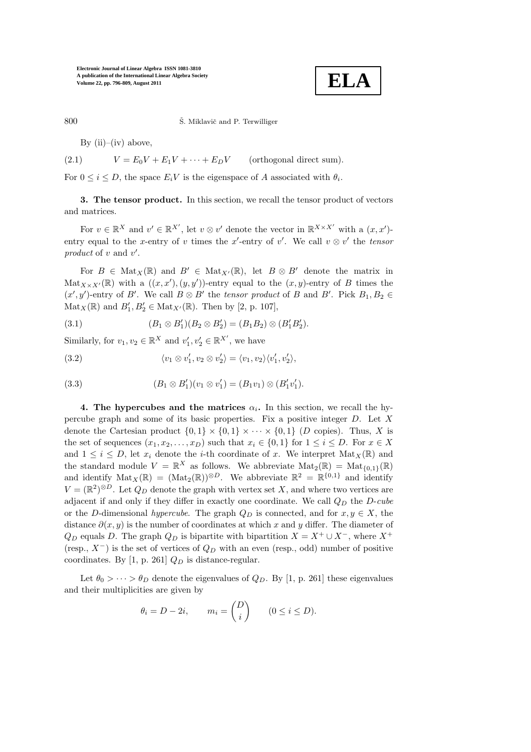

800 Š. Miklavič and P. Terwilliger

By  $(ii)$ – $(iv)$  above,

(2.1) 
$$
V = E_0 V + E_1 V + \dots + E_D V \qquad \text{(orthogonal direct sum)}.
$$

For  $0 \leq i \leq D$ , the space  $E_i V$  is the eigenspace of A associated with  $\theta_i$ .

3. The tensor product. In this section, we recall the tensor product of vectors and matrices.

For  $v \in \mathbb{R}^X$  and  $v' \in \mathbb{R}^{X'}$ , let  $v \otimes v'$  denote the vector in  $\mathbb{R}^{X \times X'}$  with a  $(x, x')$ entry equal to the x-entry of v times the x'-entry of v'. We call  $v \otimes v'$  the tensor product of  $v$  and  $v'$ .

For  $B \in Mat_X(\mathbb{R})$  and  $B' \in Mat_{X'}(\mathbb{R})$ , let  $B \otimes B'$  denote the matrix in  $\text{Mat}_{X\times X'}(\mathbb{R})$  with a  $((x,x'),(y,y'))$ -entry equal to the  $(x,y)$ -entry of B times the  $(x', y')$ -entry of B'. We call  $B \otimes B'$  the tensor product of B and B'. Pick  $B_1, B_2 \in$  $\text{Mat}_X(\mathbb{R})$  and  $B'_1, B'_2 \in \text{Mat}_{X'}(\mathbb{R})$ . Then by [2, p. 107],

(3.1) 
$$
(B_1 \otimes B'_1)(B_2 \otimes B'_2) = (B_1 B_2) \otimes (B'_1 B'_2).
$$

Similarly, for  $v_1, v_2 \in \mathbb{R}^X$  and  $v'_1, v'_2 \in \mathbb{R}^{X'}$ , we have

(3.2) 
$$
\langle v_1 \otimes v_1', v_2 \otimes v_2' \rangle = \langle v_1, v_2 \rangle \langle v_1', v_2' \rangle,
$$

(3.3) 
$$
(B_1 \otimes B'_1)(v_1 \otimes v'_1) = (B_1v_1) \otimes (B'_1v'_1).
$$

4. The hypercubes and the matrices  $\alpha_i$ . In this section, we recall the hypercube graph and some of its basic properties. Fix a positive integer D. Let X denote the Cartesian product  $\{0,1\} \times \{0,1\} \times \cdots \times \{0,1\}$  (D copies). Thus, X is the set of sequences  $(x_1, x_2, \ldots, x_D)$  such that  $x_i \in \{0, 1\}$  for  $1 \leq i \leq D$ . For  $x \in X$ and  $1 \leq i \leq D$ , let  $x_i$  denote the *i*-th coordinate of x. We interpret  $\text{Mat}_X(\mathbb{R})$  and the standard module  $V = \mathbb{R}^X$  as follows. We abbreviate  $Mat_2(\mathbb{R}) = Mat_{\{0,1\}}(\mathbb{R})$ and identify  $\text{Mat}_X(\mathbb{R}) = (\text{Mat}_2(\mathbb{R}))^{\otimes D}$ . We abbreviate  $\mathbb{R}^2 = \mathbb{R}^{\{0,1\}}$  and identify  $V = (\mathbb{R}^2)^{\otimes D}$ . Let  $Q_D$  denote the graph with vertex set X, and where two vertices are adjacent if and only if they differ in exactly one coordinate. We call  $Q_D$  the  $D\text{-}cube$ or the D-dimensional hypercube. The graph  $Q_D$  is connected, and for  $x, y \in X$ , the distance  $\partial(x, y)$  is the number of coordinates at which x and y differ. The diameter of  $Q_D$  equals D. The graph  $Q_D$  is bipartite with bipartition  $X = X^+ \cup X^-$ , where  $X^+$ (resp.,  $X^-$ ) is the set of vertices of  $Q_D$  with an even (resp., odd) number of positive coordinates. By [1, p. 261]  $Q_D$  is distance-regular.

Let  $\theta_0 > \cdots > \theta_D$  denote the eigenvalues of  $Q_D$ . By [1, p. 261] these eigenvalues and their multiplicities are given by

$$
\theta_i = D - 2i, \qquad m_i = \binom{D}{i} \qquad (0 \le i \le D).
$$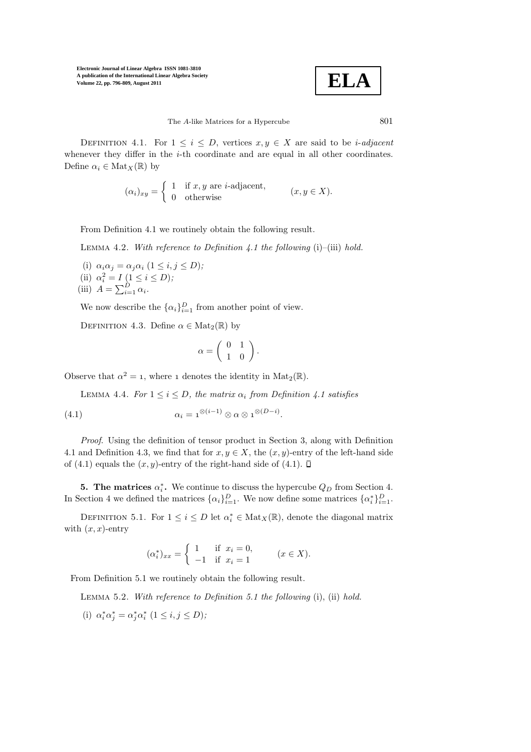$$
\mid
$$
 ELA

The A-like Matrices for a Hypercube 801

DEFINITION 4.1. For  $1 \leq i \leq D$ , vertices  $x, y \in X$  are said to be *i-adjacent* whenever they differ in the *i*-th coordinate and are equal in all other coordinates. Define  $\alpha_i \in \text{Mat}_X(\mathbb{R})$  by

$$
(\alpha_i)_{xy} = \begin{cases} 1 & \text{if } x, y \text{ are } i\text{-adjacent,} \\ 0 & \text{otherwise} \end{cases} (x, y \in X).
$$

From Definition 4.1 we routinely obtain the following result.

LEMMA 4.2. With reference to Definition 4.1 the following  $(i)$ – $(iii)$  hold.

(i)  $\alpha_i \alpha_j = \alpha_j \alpha_i$   $(1 \leq i, j \leq D);$ (ii)  $\alpha_i^2 = I \left( 1 \le i \le D \right);$ (iii)  $A = \sum_{i=1}^{D} \alpha_i$ .

We now describe the  $\{\alpha_i\}_{i=1}^D$  from another point of view.

DEFINITION 4.3. Define  $\alpha \in Mat_2(\mathbb{R})$  by

$$
\alpha = \left( \begin{array}{cc} 0 & 1 \\ 1 & 0 \end{array} \right).
$$

Observe that  $\alpha^2 = 1$ , where 1 denotes the identity in  $\text{Mat}_2(\mathbb{R})$ .

LEMMA 4.4. For  $1 \leq i \leq D$ , the matrix  $\alpha_i$  from Definition 4.1 satisfies

(4.1) 
$$
\alpha_i = \mathbf{1}^{\otimes (i-1)} \otimes \alpha \otimes \mathbf{1}^{\otimes (D-i)}.
$$

Proof. Using the definition of tensor product in Section 3, along with Definition 4.1 and Definition 4.3, we find that for  $x, y \in X$ , the  $(x, y)$ -entry of the left-hand side of (4.1) equals the  $(x, y)$ -entry of the right-hand side of (4.1).  $\Box$ 

**5. The matrices**  $\alpha_i^*$ . We continue to discuss the hypercube  $Q_D$  from Section 4. In Section 4 we defined the matrices  $\{\alpha_i\}_{i=1}^D$ . We now define some matrices  $\{\alpha_i^*\}_{i=1}^D$ .

DEFINITION 5.1. For  $1 \leq i \leq D$  let  $\alpha_i^* \in \text{Mat}_X(\mathbb{R})$ , denote the diagonal matrix with  $(x, x)$ -entry

$$
(\alpha_i^*)_{xx} = \begin{cases} 1 & \text{if } x_i = 0, \\ -1 & \text{if } x_i = 1 \end{cases}
$$
  $(x \in X).$ 

From Definition 5.1 we routinely obtain the following result.

Lemma 5.2. With reference to Definition 5.1 the following (i), (ii) hold.

(i)  $\alpha_i^* \alpha_j^* = \alpha_j^* \alpha_i^*$   $(1 \le i, j \le D);$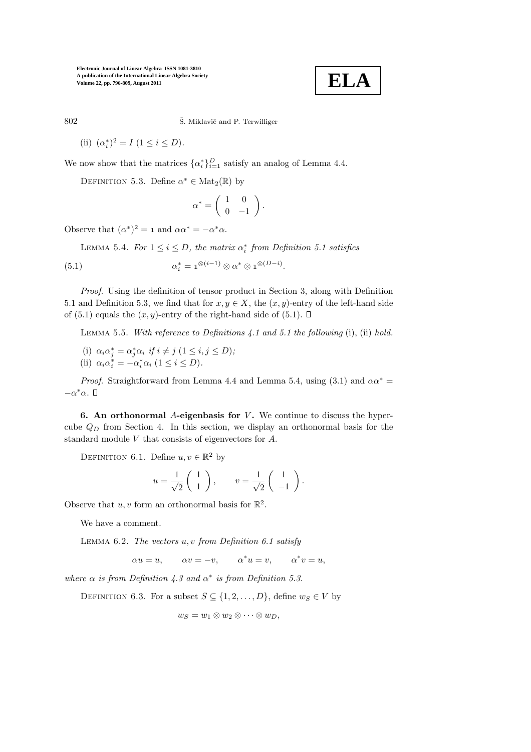

802 Š. Miklavič and P. Terwilliger

(ii)  $(\alpha_i^*)^2 = I \ (1 \le i \le D).$ 

We now show that the matrices  $\{\alpha_i^*\}_{i=1}^D$  satisfy an analog of Lemma 4.4.

DEFINITION 5.3. Define  $\alpha^* \in Mat_2(\mathbb{R})$  by

$$
\alpha^* = \left( \begin{array}{cc} 1 & 0 \\ 0 & -1 \end{array} \right).
$$

Observe that  $(\alpha^*)^2 = 1$  and  $\alpha \alpha^* = -\alpha^* \alpha$ .

LEMMA 5.4. For  $1 \leq i \leq D$ , the matrix  $\alpha_i^*$  from Definition 5.1 satisfies

(5.1) 
$$
\alpha_i^* = \mathbf{1}^{\otimes (i-1)} \otimes \alpha^* \otimes \mathbf{1}^{\otimes (D-i)}.
$$

Proof. Using the definition of tensor product in Section 3, along with Definition 5.1 and Definition 5.3, we find that for  $x, y \in X$ , the  $(x, y)$ -entry of the left-hand side of (5.1) equals the  $(x, y)$ -entry of the right-hand side of (5.1).  $\Box$ 

LEMMA 5.5. With reference to Definitions 4.1 and 5.1 the following (i), (ii) hold.

- (i)  $\alpha_i \alpha_j^* = \alpha_j^* \alpha_i \text{ if } i \neq j \ (1 \leq i, j \leq D);$
- (ii)  $\alpha_i \alpha_i^* = -\alpha_i^* \alpha_i$  ( $1 \le i \le D$ ).

*Proof.* Straightforward from Lemma 4.4 and Lemma 5.4, using (3.1) and  $\alpha \alpha^* =$  $-\alpha^*\alpha$ .

6. An orthonormal A-eigenbasis for  $V$ . We continue to discuss the hypercube  $Q_D$  from Section 4. In this section, we display an orthonormal basis for the standard module V that consists of eigenvectors for A.

DEFINITION 6.1. Define  $u, v \in \mathbb{R}^2$  by

$$
u = \frac{1}{\sqrt{2}} \begin{pmatrix} 1 \\ 1 \end{pmatrix}, \qquad v = \frac{1}{\sqrt{2}} \begin{pmatrix} 1 \\ -1 \end{pmatrix}.
$$

Observe that  $u, v$  form an orthonormal basis for  $\mathbb{R}^2$ .

We have a comment.

LEMMA  $6.2$ . The vectors  $u, v$  from Definition  $6.1$  satisfy

$$
\alpha u = u, \qquad \alpha v = -v, \qquad \alpha^* u = v, \qquad \alpha^* v = u,
$$

where  $\alpha$  is from Definition 4.3 and  $\alpha^*$  is from Definition 5.3.

DEFINITION 6.3. For a subset  $S \subseteq \{1, 2, ..., D\}$ , define  $w_S \in V$  by

$$
w_S=w_1\otimes w_2\otimes\cdots\otimes w_D,
$$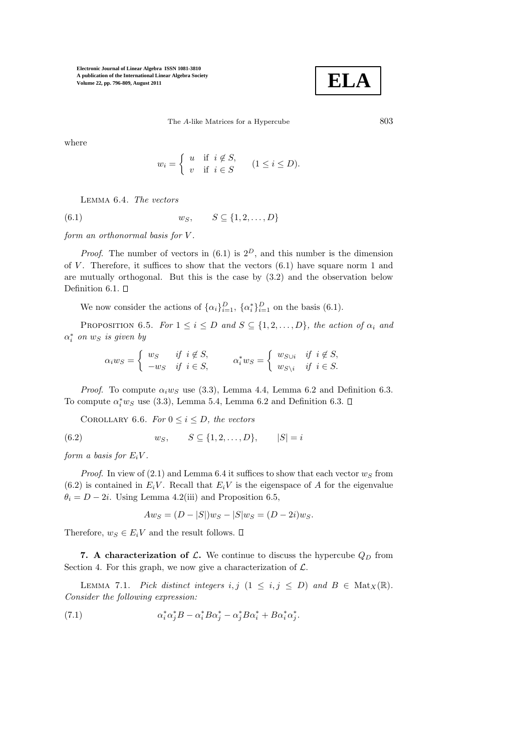

The A-like Matrices for a Hypercube 803

where

$$
w_i = \begin{cases} u & \text{if } i \notin S, \\ v & \text{if } i \in S \end{cases} \quad (1 \leq i \leq D).
$$

Lemma 6.4. The vectors

$$
(6.1) \t\t w_S, \t S \subseteq \{1, 2, \ldots, D\}
$$

form an orthonormal basis for V .

*Proof.* The number of vectors in  $(6.1)$  is  $2^D$ , and this number is the dimension of V. Therefore, it suffices to show that the vectors  $(6.1)$  have square norm 1 and are mutually orthogonal. But this is the case by (3.2) and the observation below Definition 6.1.  $\square$ 

We now consider the actions of  $\{\alpha_i\}_{i=1}^D$ ,  $\{\alpha_i^*\}_{i=1}^D$  on the basis (6.1).

PROPOSITION 6.5. For  $1 \leq i \leq D$  and  $S \subseteq \{1, 2, ..., D\}$ , the action of  $\alpha_i$  and  $\alpha_i^*$  on  $w_S$  is given by

$$
\alpha_i w_S = \begin{cases} w_S & \text{if } i \notin S, \\ -w_S & \text{if } i \in S, \end{cases} \qquad \alpha_i^* w_S = \begin{cases} w_{S \cup i} & \text{if } i \notin S, \\ w_{S \setminus i} & \text{if } i \in S. \end{cases}
$$

*Proof.* To compute  $\alpha_i w_S$  use (3.3), Lemma 4.4, Lemma 6.2 and Definition 6.3. To compute  $\alpha_i^* w_S$  use (3.3), Lemma 5.4, Lemma 6.2 and Definition 6.3.

COROLLARY 6.6. For  $0 \leq i \leq D$ , the vectors

(6.2)  $w_S, \quad S \subseteq \{1, 2, ..., D\}, \quad |S| = i$ 

form a basis for  $E_iV$ .

*Proof.* In view of  $(2.1)$  and Lemma 6.4 it suffices to show that each vector  $w_S$  from  $(6.2)$  is contained in  $E_iV$ . Recall that  $E_iV$  is the eigenspace of A for the eigenvalue  $\theta_i = D - 2i$ . Using Lemma 4.2(iii) and Proposition 6.5,

$$
Aw_S = (D - |S|)w_S - |S|w_S = (D - 2i)w_S.
$$

Therefore,  $w_S \in E_iV$  and the result follows.  $\square$ 

7. A characterization of  $\mathcal{L}$ . We continue to discuss the hypercube  $Q_D$  from Section 4. For this graph, we now give a characterization of  $\mathcal{L}$ .

LEMMA 7.1. Pick distinct integers i, j  $(1 \le i, j \le D)$  and  $B \in Mat_X(\mathbb{R})$ . Consider the following expression:

(7.1) 
$$
\alpha_i^* \alpha_j^* B - \alpha_i^* B \alpha_j^* - \alpha_j^* B \alpha_i^* + B \alpha_i^* \alpha_j^*.
$$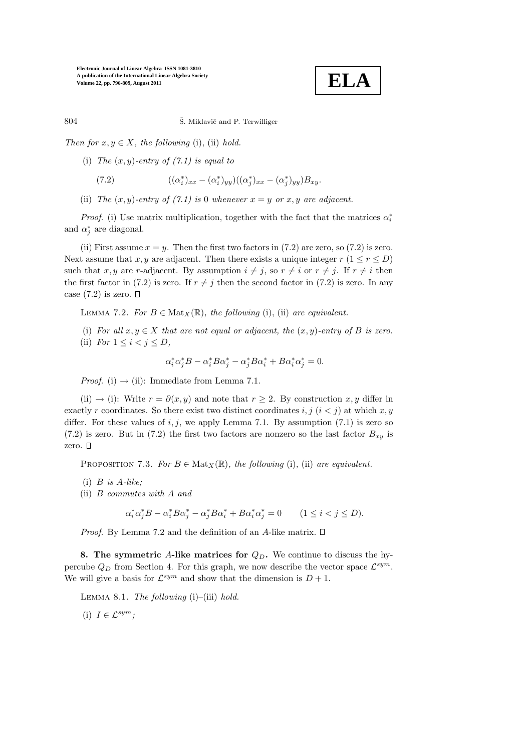

804 Š. Miklavič and P. Terwilliger

Then for  $x, y \in X$ , the following (i), (ii) hold.

(i) The  $(x, y)$ -entry of  $(7.1)$  is equal to

(7.2) 
$$
((\alpha_i^*)_{xx} - (\alpha_i^*)_{yy})((\alpha_j^*)_{xx} - (\alpha_j^*)_{yy})B_{xy}.
$$

(ii) The  $(x, y)$ -entry of  $(7.1)$  is 0 whenever  $x = y$  or  $x, y$  are adjacent.

*Proof.* (i) Use matrix multiplication, together with the fact that the matrices  $\alpha_i^*$ and  $\alpha_j^*$  are diagonal.

(ii) First assume  $x = y$ . Then the first two factors in (7.2) are zero, so (7.2) is zero. Next assume that x, y are adjacent. Then there exists a unique integer  $r (1 \le r \le D)$ such that x, y are r-adjacent. By assumption  $i \neq j$ , so  $r \neq i$  or  $r \neq j$ . If  $r \neq i$  then the first factor in (7.2) is zero. If  $r \neq j$  then the second factor in (7.2) is zero. In any case  $(7.2)$  is zero.  $\square$ 

LEMMA 7.2. For  $B \in Mat_X(\mathbb{R})$ , the following (i), (ii) are equivalent.

- (i) For all  $x, y \in X$  that are not equal or adjacent, the  $(x, y)$ -entry of B is zero.
- (ii) For  $1 \leq i < j \leq D$ ,

$$
\alpha_i^* \alpha_j^* B - \alpha_i^* B \alpha_j^* - \alpha_j^* B \alpha_i^* + B \alpha_i^* \alpha_j^* = 0.
$$

*Proof.* (i)  $\rightarrow$  (ii): Immediate from Lemma 7.1.

(ii)  $\rightarrow$  (i): Write  $r = \partial(x, y)$  and note that  $r \geq 2$ . By construction x, y differ in exactly r coordinates. So there exist two distinct coordinates i, j  $(i < j)$  at which x, y differ. For these values of  $i, j$ , we apply Lemma 7.1. By assumption (7.1) is zero so (7.2) is zero. But in (7.2) the first two factors are nonzero so the last factor  $B_{xy}$  is zero.  $\square$ 

PROPOSITION 7.3. For  $B \in Mat_X(\mathbb{R})$ , the following (i), (ii) are equivalent.

- (i)  $B$  is  $A$ -like:
- (ii) B commutes with A and

$$
\alpha_i^* \alpha_j^* B - \alpha_i^* B \alpha_j^* - \alpha_j^* B \alpha_i^* + B \alpha_i^* \alpha_j^* = 0 \qquad (1 \le i < j \le D).
$$

*Proof.* By Lemma 7.2 and the definition of an A-like matrix.  $\square$ 

8. The symmetric A-like matrices for  $Q_D$ . We continue to discuss the hypercube  $Q_D$  from Section 4. For this graph, we now describe the vector space  $\mathcal{L}^{sym}$ . We will give a basis for  $\mathcal{L}^{sym}$  and show that the dimension is  $D + 1$ .

LEMMA 8.1. The following  $(i)$ – $(iii)$  hold.

(i)  $I \in \mathcal{L}^{sym}$ ;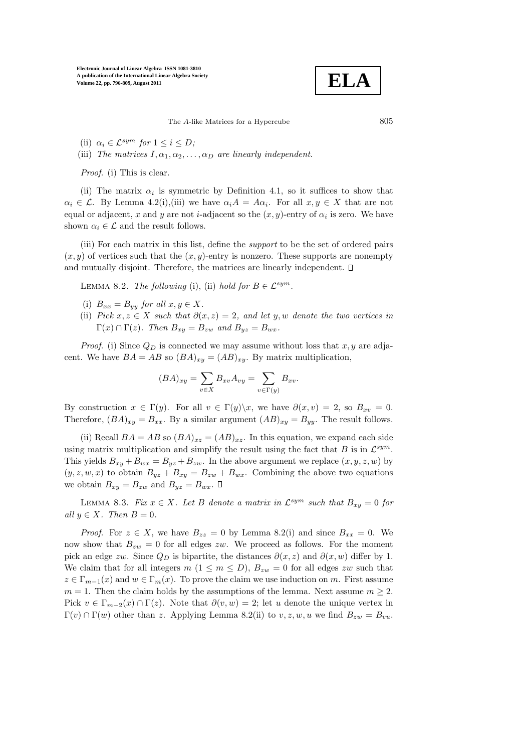$$
\boxed{\textbf{ELA}}
$$

The  $A$ -like Matrices for a Hypercube  $805$ 

- (ii)  $\alpha_i \in \mathcal{L}^{sym}$  for  $1 \leq i \leq D$ ;
- (iii) The matrices  $I, \alpha_1, \alpha_2, \ldots, \alpha_D$  are linearly independent.

Proof. (i) This is clear.

(ii) The matrix  $\alpha_i$  is symmetric by Definition 4.1, so it suffices to show that  $\alpha_i \in \mathcal{L}$ . By Lemma 4.2(i),(iii) we have  $\alpha_i A = A \alpha_i$ . For all  $x, y \in X$  that are not equal or adjacent, x and y are not *i*-adjacent so the  $(x, y)$ -entry of  $\alpha_i$  is zero. We have shown  $\alpha_i \in \mathcal{L}$  and the result follows.

(iii) For each matrix in this list, define the support to be the set of ordered pairs  $(x, y)$  of vertices such that the  $(x, y)$ -entry is nonzero. These supports are nonempty and mutually disjoint. Therefore, the matrices are linearly independent.  $\square$ 

LEMMA 8.2. The following (i), (ii) hold for  $B \in \mathcal{L}^{sym}$ .

- (i)  $B_{xx} = B_{yy}$  for all  $x, y \in X$ .
- (ii) Pick  $x, z \in X$  such that  $\partial(x, z) = 2$ , and let y, w denote the two vertices in  $\Gamma(x) \cap \Gamma(z)$ . Then  $B_{xy} = B_{zw}$  and  $B_{yz} = B_{wx}$ .

*Proof.* (i) Since  $Q_D$  is connected we may assume without loss that x, y are adjacent. We have  $BA = AB$  so  $(BA)_{xy} = (AB)_{xy}$ . By matrix multiplication,

$$
(BA)_{xy} = \sum_{v \in X} B_{xv} A_{vy} = \sum_{v \in \Gamma(y)} B_{xv}.
$$

By construction  $x \in \Gamma(y)$ . For all  $v \in \Gamma(y) \backslash x$ , we have  $\partial(x, v) = 2$ , so  $B_{xy} = 0$ . Therefore,  $(BA)_{xy} = B_{xx}$ . By a similar argument  $(AB)_{xy} = B_{yy}$ . The result follows.

(ii) Recall  $BA = AB$  so  $(BA)_{xz} = (AB)_{xz}$ . In this equation, we expand each side using matrix multiplication and simplify the result using the fact that  $B$  is in  $\mathcal{L}^{sym}$ . This yields  $B_{xy} + B_{wx} = B_{yz} + B_{zw}$ . In the above argument we replace  $(x, y, z, w)$  by  $(y, z, w, x)$  to obtain  $B_{yz} + B_{xy} = B_{zw} + B_{wx}$ . Combining the above two equations we obtain  $B_{xy} = B_{zw}$  and  $B_{yz} = B_{wx}$ .  $\square$ 

LEMMA 8.3. Fix  $x \in X$ . Let B denote a matrix in  $\mathcal{L}^{sym}$  such that  $B_{xy} = 0$  for all  $y \in X$ . Then  $B = 0$ .

*Proof.* For  $z \in X$ , we have  $B_{zz} = 0$  by Lemma 8.2(i) and since  $B_{xx} = 0$ . We now show that  $B_{zw} = 0$  for all edges zw. We proceed as follows. For the moment pick an edge zw. Since  $Q_D$  is bipartite, the distances  $\partial(x, z)$  and  $\partial(x, w)$  differ by 1. We claim that for all integers  $m (1 \le m \le D)$ ,  $B_{zw} = 0$  for all edges zw such that  $z \in \Gamma_{m-1}(x)$  and  $w \in \Gamma_m(x)$ . To prove the claim we use induction on m. First assume  $m = 1$ . Then the claim holds by the assumptions of the lemma. Next assume  $m > 2$ . Pick  $v \in \Gamma_{m-2}(x) \cap \Gamma(z)$ . Note that  $\partial(v, w) = 2$ ; let u denote the unique vertex in  $\Gamma(v) \cap \Gamma(w)$  other than z. Applying Lemma 8.2(ii) to  $v, z, w, u$  we find  $B_{zw} = B_{vu}$ .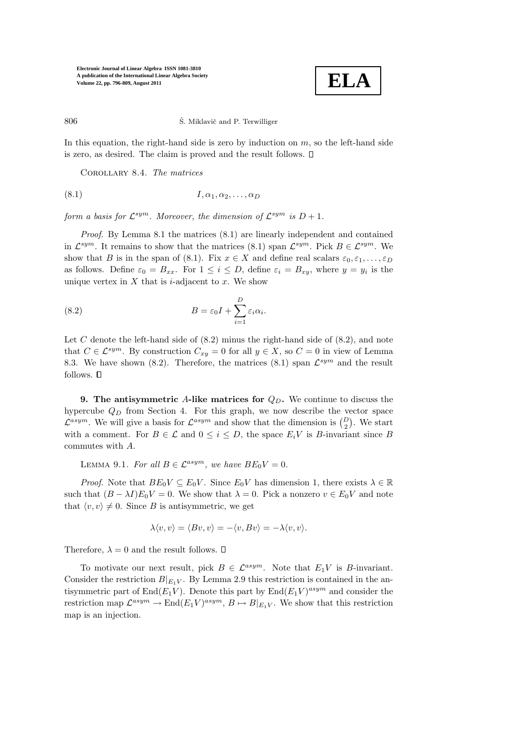

806 Š. Miklavič and P. Terwilliger

In this equation, the right-hand side is zero by induction on  $m$ , so the left-hand side is zero, as desired. The claim is proved and the result follows.

Corollary 8.4. The matrices

$$
(8.1) \tI, \alpha_1, \alpha_2, \ldots, \alpha_D
$$

form a basis for  $\mathcal{L}^{sym}$ . Moreover, the dimension of  $\mathcal{L}^{sym}$  is  $D+1$ .

Proof. By Lemma 8.1 the matrices (8.1) are linearly independent and contained in  $\mathcal{L}^{sym}$ . It remains to show that the matrices (8.1) span  $\mathcal{L}^{sym}$ . Pick  $B \in \mathcal{L}^{sym}$ . We show that B is in the span of (8.1). Fix  $x \in X$  and define real scalars  $\varepsilon_0, \varepsilon_1, \ldots, \varepsilon_D$ as follows. Define  $\varepsilon_0 = B_{xx}$ . For  $1 \leq i \leq D$ , define  $\varepsilon_i = B_{xy}$ , where  $y = y_i$  is the unique vertex in  $X$  that is *i*-adjacent to  $x$ . We show

(8.2) 
$$
B = \varepsilon_0 I + \sum_{i=1}^{D} \varepsilon_i \alpha_i.
$$

Let C denote the left-hand side of  $(8.2)$  minus the right-hand side of  $(8.2)$ , and note that  $C \in \mathcal{L}^{sym}$ . By construction  $C_{xy} = 0$  for all  $y \in X$ , so  $C = 0$  in view of Lemma 8.3. We have shown (8.2). Therefore, the matrices (8.1) span  $\mathcal{L}^{sym}$  and the result follows.  $\square$ 

9. The antisymmetric A-like matrices for  $Q_D$ . We continue to discuss the hypercube  $Q_D$  from Section 4. For this graph, we now describe the vector space  $\mathcal{L}^{asym}$ . We will give a basis for  $\mathcal{L}^{asym}$  and show that the dimension is  $\binom{D}{2}$ . We start with a comment. For  $B \in \mathcal{L}$  and  $0 \leq i \leq D$ , the space  $E_i V$  is B-invariant since B commutes with A.

LEMMA 9.1. For all  $B \in \mathcal{L}^{asym}$ , we have  $BE_0V = 0$ .

*Proof.* Note that  $BE_0V \subseteq E_0V$ . Since  $E_0V$  has dimension 1, there exists  $\lambda \in \mathbb{R}$ such that  $(B - \lambda I)E_0V = 0$ . We show that  $\lambda = 0$ . Pick a nonzero  $v \in E_0V$  and note that  $\langle v, v \rangle \neq 0$ . Since B is antisymmetric, we get

$$
\lambda \langle v, v \rangle = \langle Bv, v \rangle = -\langle v, Bv \rangle = -\lambda \langle v, v \rangle.
$$

Therefore,  $\lambda = 0$  and the result follows.  $\Box$ 

To motivate our next result, pick  $B \in \mathcal{L}^{asym}$ . Note that  $E_1V$  is B-invariant. Consider the restriction  $B|_{E_1V}$ . By Lemma 2.9 this restriction is contained in the antisymmetric part of  $\text{End}(E_1 V)$ . Denote this part by  $\text{End}(E_1 V)^{asym}$  and consider the restriction map  $\mathcal{L}^{asym} \to \text{End}(E_1 V)^{asym}$ ,  $B \mapsto B|_{E_1 V}$ . We show that this restriction map is an injection.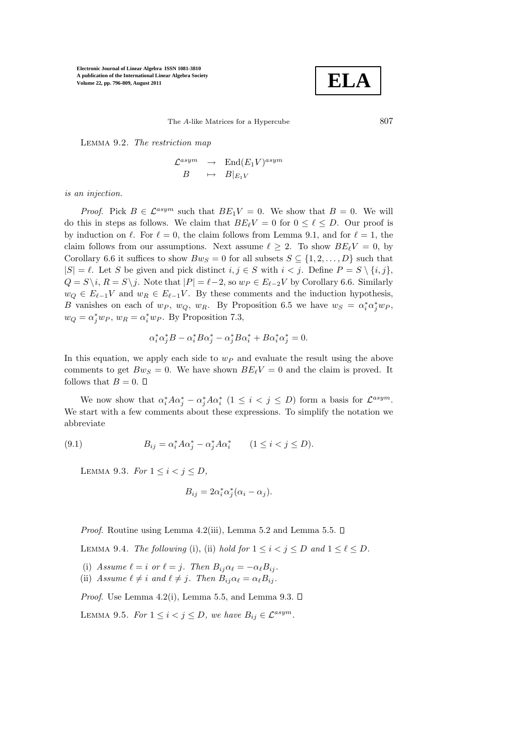$$
\boxed{\textbf{ELA}}
$$

The A-like Matrices for a Hypercube 807

Lemma 9.2. The restriction map

$$
\begin{array}{rcl}\n\mathcal{L}^{asym} & \to & \text{End}(E_1 V)^{asym} \\
B & \mapsto & B|_{E_1 V}\n\end{array}
$$

is an injection.

*Proof.* Pick  $B \in \mathcal{L}^{asym}$  such that  $BE_1V = 0$ . We show that  $B = 0$ . We will do this in steps as follows. We claim that  $BE_{\ell}V = 0$  for  $0 \leq \ell \leq D$ . Our proof is by induction on  $\ell$ . For  $\ell = 0$ , the claim follows from Lemma 9.1, and for  $\ell = 1$ , the claim follows from our assumptions. Next assume  $\ell \geq 2$ . To show  $BE_{\ell}V = 0$ , by Corollary 6.6 it suffices to show  $Bw_S = 0$  for all subsets  $S \subseteq \{1, 2, ..., D\}$  such that  $|S| = \ell$ . Let S be given and pick distinct  $i, j \in S$  with  $i < j$ . Define  $P = S \setminus \{i, j\}$ ,  $Q = S \setminus i$ ,  $R = S \setminus j$ . Note that  $|P| = \ell - 2$ , so  $w_P \in E_{\ell-2}V$  by Corollary 6.6. Similarly  $w_Q \in E_{\ell-1}V$  and  $w_R \in E_{\ell-1}V$ . By these comments and the induction hypothesis, B vanishes on each of  $w_P$ ,  $w_Q$ ,  $w_R$ . By Proposition 6.5 we have  $w_S = \alpha_i^* \alpha_j^* w_P$ ,  $w_Q = \alpha_j^* w_P$ ,  $w_R = \alpha_i^* w_P$ . By Proposition 7.3,

$$
\alpha_i^* \alpha_j^* B - \alpha_i^* B \alpha_j^* - \alpha_j^* B \alpha_i^* + B \alpha_i^* \alpha_j^* = 0.
$$

In this equation, we apply each side to  $w_P$  and evaluate the result using the above comments to get  $Bw_S = 0$ . We have shown  $BE_{\ell}V = 0$  and the claim is proved. It follows that  $B = 0$ .  $\Box$ 

We now show that  $\alpha_i^* A \alpha_j^* - \alpha_j^* A \alpha_i^*$   $(1 \leq i < j \leq D)$  form a basis for  $\mathcal{L}^{asym}$ . We start with a few comments about these expressions. To simplify the notation we abbreviate

(9.1) 
$$
B_{ij} = \alpha_i^* A \alpha_j^* - \alpha_j^* A \alpha_i^* \qquad (1 \le i < j \le D).
$$

LEMMA 9.3. For  $1 \leq i < j \leq D$ ,

$$
B_{ij} = 2\alpha_i^* \alpha_j^* (\alpha_i - \alpha_j).
$$

*Proof.* Routine using Lemma 4.2(iii), Lemma 5.2 and Lemma 5.5.  $\Box$ 

LEMMA 9.4. The following (i), (ii) hold for  $1 \leq i < j \leq D$  and  $1 \leq \ell \leq D$ .

- (i) Assume  $\ell = i$  or  $\ell = j$ . Then  $B_{ij}\alpha_{\ell} = -\alpha_{\ell}B_{ij}$ .
- (ii) Assume  $\ell \neq i$  and  $\ell \neq j$ . Then  $B_{ij} \alpha_{\ell} = \alpha_{\ell} B_{ij}$ .

*Proof.* Use Lemma 4.2(i), Lemma 5.5, and Lemma 9.3.  $\square$ 

LEMMA 9.5. For  $1 \leq i < j \leq D$ , we have  $B_{ij} \in \mathcal{L}^{asym}$ .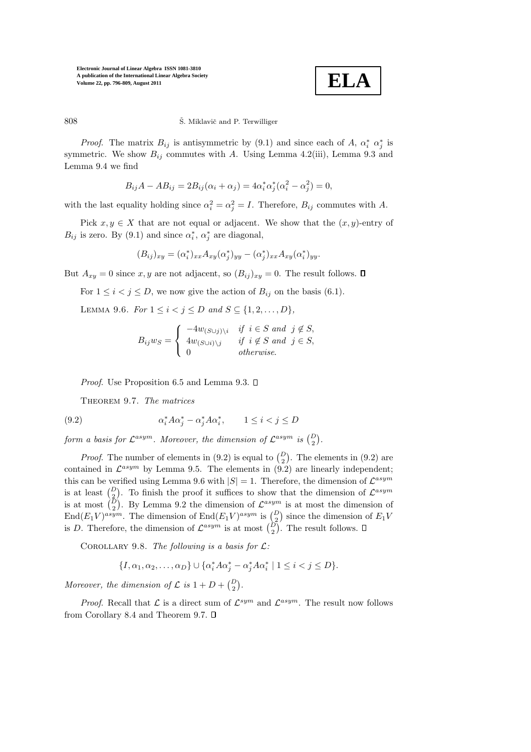

## 808 Š. Miklavič and P. Terwilliger

*Proof.* The matrix  $B_{ij}$  is antisymmetric by (9.1) and since each of A,  $\alpha_i^* \alpha_j^*$  is symmetric. We show  $B_{ij}$  commutes with A. Using Lemma 4.2(iii), Lemma 9.3 and Lemma 9.4 we find

$$
B_{ij}A - AB_{ij} = 2B_{ij}(\alpha_i + \alpha_j) = 4\alpha_i^* \alpha_j^* (\alpha_i^2 - \alpha_j^2) = 0,
$$

with the last equality holding since  $\alpha_i^2 = \alpha_j^2 = I$ . Therefore,  $B_{ij}$  commutes with A.

Pick  $x, y \in X$  that are not equal or adjacent. We show that the  $(x, y)$ -entry of  $B_{ij}$  is zero. By (9.1) and since  $\alpha_i^*$ ,  $\alpha_j^*$  are diagonal,

$$
(B_{ij})_{xy} = (\alpha_i^*)_{xx} A_{xy} (\alpha_j^*)_{yy} - (\alpha_j^*)_{xx} A_{xy} (\alpha_i^*)_{yy}.
$$

But  $A_{xy} = 0$  since x, y are not adjacent, so  $(B_{ij})_{xy} = 0$ . The result follows.  $\square$ 

For  $1 \leq i < j \leq D$ , we now give the action of  $B_{ij}$  on the basis (6.1).

LEMMA 9.6. For  $1 \le i < j \le D$  and  $S \subseteq \{1, 2, ..., D\}$ ,

$$
B_{ij}w_S = \begin{cases} -4w_{(S \cup j)\setminus i} & \text{if } i \in S \text{ and } j \notin S, \\ 4w_{(S \cup i)\setminus j} & \text{if } i \notin S \text{ and } j \in S, \\ 0 & \text{otherwise.} \end{cases}
$$

*Proof.* Use Proposition 6.5 and Lemma 9.3.  $\square$ 

THEOREM 9.7. The matrices

(9.2) 
$$
\alpha_i^* A \alpha_j^* - \alpha_j^* A \alpha_i^*, \qquad 1 \le i < j \le D
$$

form a basis for  $\mathcal{L}^{asym}$ . Moreover, the dimension of  $\mathcal{L}^{asym}$  is  $\binom{D}{2}$ .

*Proof.* The number of elements in (9.2) is equal to  $\binom{D}{2}$ . The elements in (9.2) are contained in  $\mathcal{L}^{asym}$  by Lemma 9.5. The elements in (9.2) are linearly independent; this can be verified using Lemma 9.6 with  $|S| = 1$ . Therefore, the dimension of  $\mathcal{L}^{asym}$ is at least  $\begin{pmatrix} D \\ 2 \end{pmatrix}$ . To finish the proof it suffices to show that the dimension of  $\mathcal{L}^{asym}$ is at most  $\begin{pmatrix} \bar{D} \\ 2 \end{pmatrix}$ . By Lemma 9.2 the dimension of  $\mathcal{L}^{asym}$  is at most the dimension of  $\text{End}(E_1 V)^{asym}$ . The dimension of  $\text{End}(E_1 V)^{asym}$  is  $\binom{D}{2}$  since the dimension of  $E_1 V$ is D. Therefore, the dimension of  $\mathcal{L}^{asym}$  is at most  $\binom{D}{2}$ . The result follows.

COROLLARY 9.8. The following is a basis for  $\mathcal{L}$ :

$$
\{I, \alpha_1, \alpha_2, \dots, \alpha_D\} \cup \{\alpha_i^* A \alpha_j^* - \alpha_j^* A \alpha_i^* \mid 1 \le i < j \le D\}.
$$

Moreover, the dimension of  $\mathcal{L}$  is  $1 + D + {D \choose 2}$ .

*Proof.* Recall that  $\mathcal{L}$  is a direct sum of  $\mathcal{L}^{sym}$  and  $\mathcal{L}^{asym}$ . The result now follows from Corollary 8.4 and Theorem 9.7.  $\square$